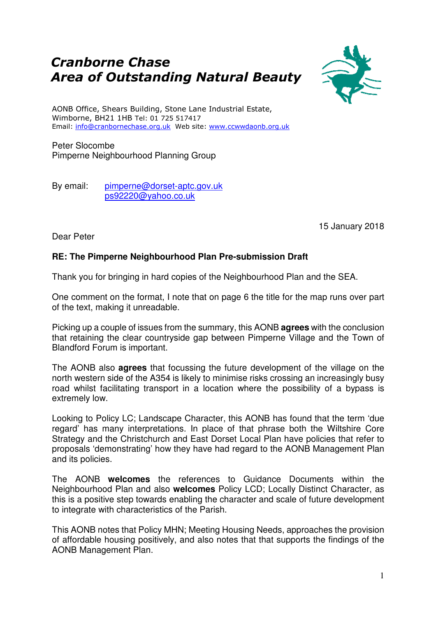## Cranborne Chase Area of Outstanding Natural Beauty



AONB Office, Shears Building, Stone Lane Industrial Estate, Wimborne, BH21 1HB Tel: 01 725 517417 Email: info@cranbornechase.org.uk Web site: www.ccwwdaonb.org.uk

Peter Slocombe Pimperne Neighbourhood Planning Group

By email: pimperne@dorset-aptc.gov.uk ps92220@yahoo.co.uk

15 January 2018

Dear Peter

## **RE: The Pimperne Neighbourhood Plan Pre-submission Draft**

Thank you for bringing in hard copies of the Neighbourhood Plan and the SEA.

One comment on the format, I note that on page 6 the title for the map runs over part of the text, making it unreadable.

Picking up a couple of issues from the summary, this AONB **agrees** with the conclusion that retaining the clear countryside gap between Pimperne Village and the Town of Blandford Forum is important.

The AONB also **agrees** that focussing the future development of the village on the north western side of the A354 is likely to minimise risks crossing an increasingly busy road whilst facilitating transport in a location where the possibility of a bypass is extremely low.

Looking to Policy LC; Landscape Character, this AONB has found that the term 'due regard' has many interpretations. In place of that phrase both the Wiltshire Core Strategy and the Christchurch and East Dorset Local Plan have policies that refer to proposals 'demonstrating' how they have had regard to the AONB Management Plan and its policies.

The AONB **welcomes** the references to Guidance Documents within the Neighbourhood Plan and also **welcomes** Policy LCD; Locally Distinct Character, as this is a positive step towards enabling the character and scale of future development to integrate with characteristics of the Parish.

This AONB notes that Policy MHN; Meeting Housing Needs, approaches the provision of affordable housing positively, and also notes that that supports the findings of the AONB Management Plan.